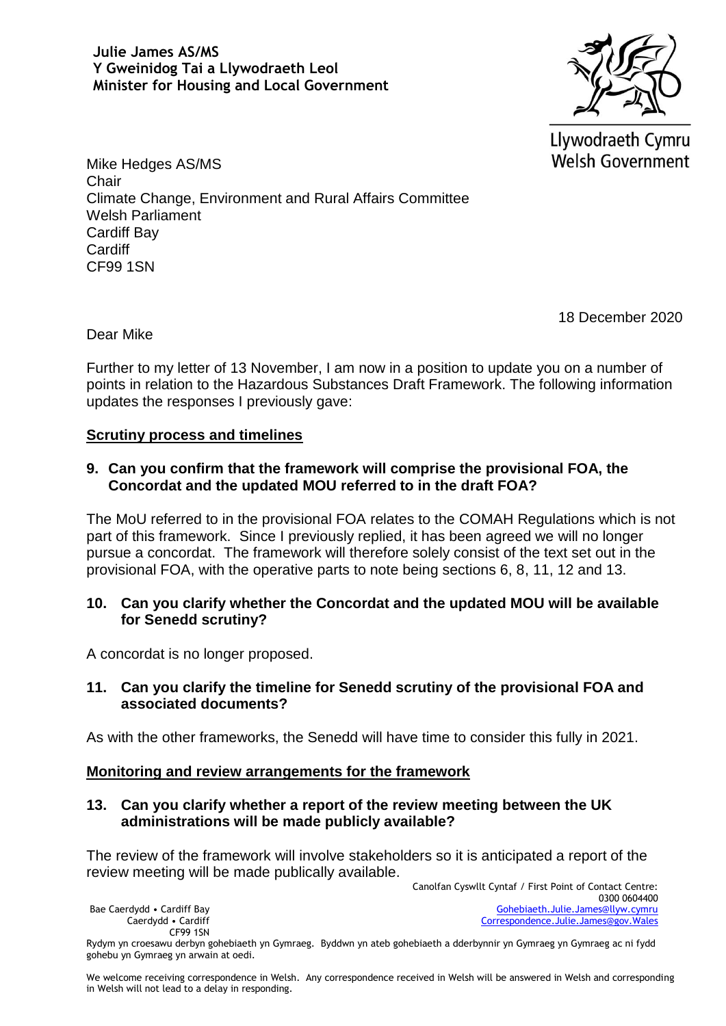**Julie James AS/MS Y Gweinidog Tai a Llywodraeth Leol Minister for Housing and Local Government** 



Llywodraeth Cymru **Welsh Government** 

Mike Hedges AS/MS **Chair** Climate Change, Environment and Rural Affairs Committee Welsh Parliament Cardiff Bay **Cardiff** CF99 1SN

18 December 2020

Dear Mike

Further to my letter of 13 November, I am now in a position to update you on a number of points in relation to the Hazardous Substances Draft Framework. The following information updates the responses I previously gave:

# **Scrutiny process and timelines**

**9. Can you confirm that the framework will comprise the provisional FOA, the Concordat and the updated MOU referred to in the draft FOA?** 

The MoU referred to in the provisional FOA relates to the COMAH Regulations which is not part of this framework. Since I previously replied, it has been agreed we will no longer pursue a concordat. The framework will therefore solely consist of the text set out in the provisional FOA, with the operative parts to note being sections 6, 8, 11, 12 and 13.

## **10. Can you clarify whether the Concordat and the updated MOU will be available for Senedd scrutiny?**

A concordat is no longer proposed.

## **11. Can you clarify the timeline for Senedd scrutiny of the provisional FOA and associated documents?**

As with the other frameworks, the Senedd will have time to consider this fully in 2021.

#### **Monitoring and review arrangements for the framework**

## **13. Can you clarify whether a report of the review meeting between the UK administrations will be made publicly available?**

The review of the framework will involve stakeholders so it is anticipated a report of the review meeting will be made publically available.

Canolfan Cyswllt Cyntaf / First Point of Contact Centre: 0300 0604400 [Gohebiaeth.Julie.James@llyw.cymru](mailto:Gohebiaeth.Julie.James@llyw.cymru) [Correspondence.Julie.James@gov.Wales](mailto:Correspondence.Julie.James@gov.Wales)

Bae Caerdydd • Cardiff Bay Caerdydd • Cardiff CF99 1SN

Rydym yn croesawu derbyn gohebiaeth yn Gymraeg. Byddwn yn ateb gohebiaeth a dderbynnir yn Gymraeg yn Gymraeg ac ni fydd gohebu yn Gymraeg yn arwain at oedi.

We welcome receiving correspondence in Welsh. Any correspondence received in Welsh will be answered in Welsh and corresponding in Welsh will not lead to a delay in responding.